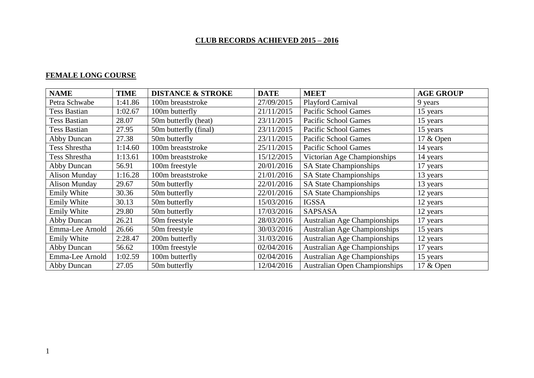# **CLUB RECORDS ACHIEVED 2015 – 2016**

## **FEMALE LONG COURSE**

| <b>NAME</b>          | <b>TIME</b> | <b>DISTANCE &amp; STROKE</b> | <b>DATE</b> | <b>MEET</b>                          | <b>AGE GROUP</b> |
|----------------------|-------------|------------------------------|-------------|--------------------------------------|------------------|
| Petra Schwabe        | 1:41.86     | 100m breaststroke            | 27/09/2015  | Playford Carnival                    | 9 years          |
| Tess Bastian         | 1:02.67     | 100m butterfly               | 21/11/2015  | Pacific School Games                 | 15 years         |
| <b>Tess Bastian</b>  | 28.07       | 50m butterfly (heat)         | 23/11/2015  | Pacific School Games                 | 15 years         |
| Tess Bastian         | 27.95       | 50m butterfly (final)        | 23/11/2015  | Pacific School Games                 | 15 years         |
| Abby Duncan          | 27.38       | 50m butterfly                | 23/11/2015  | Pacific School Games                 | 17 & Open        |
| Tess Shrestha        | 1:14.60     | 100m breaststroke            | 25/11/2015  | Pacific School Games                 | 14 years         |
| Tess Shrestha        | 1:13.61     | 100m breaststroke            | 15/12/2015  | Victorian Age Championships          | 14 years         |
| Abby Duncan          | 56.91       | 100m freestyle               | 20/01/2016  | <b>SA State Championships</b>        | 17 years         |
| <b>Alison Munday</b> | 1:16.28     | 100m breaststroke            | 21/01/2016  | <b>SA State Championships</b>        | 13 years         |
| <b>Alison Munday</b> | 29.67       | 50m butterfly                | 22/01/2016  | <b>SA State Championships</b>        | 13 years         |
| Emily White          | 30.36       | 50m butterfly                | 22/01/2016  | <b>SA State Championships</b>        | 12 years         |
| <b>Emily White</b>   | 30.13       | 50m butterfly                | 15/03/2016  | <b>IGSSA</b>                         | 12 years         |
| <b>Emily White</b>   | 29.80       | 50m butterfly                | 17/03/2016  | <b>SAPSASA</b>                       | 12 years         |
| Abby Duncan          | 26.21       | 50m freestyle                | 28/03/2016  | Australian Age Championships         | 17 years         |
| Emma-Lee Arnold      | 26.66       | 50m freestyle                | 30/03/2016  | Australian Age Championships         | 15 years         |
| Emily White          | 2:28.47     | 200m butterfly               | 31/03/2016  | <b>Australian Age Championships</b>  | 12 years         |
| Abby Duncan          | 56.62       | 100m freestyle               | 02/04/2016  | Australian Age Championships         | 17 years         |
| Emma-Lee Arnold      | 1:02.59     | 100m butterfly               | 02/04/2016  | Australian Age Championships         | 15 years         |
| Abby Duncan          | 27.05       | 50m butterfly                | 12/04/2016  | <b>Australian Open Championships</b> | 17 & Open        |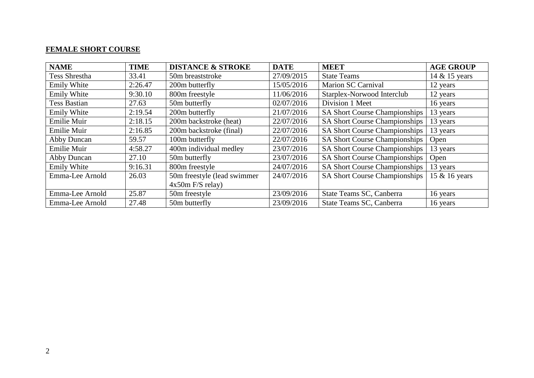## **FEMALE SHORT COURSE**

| <b>NAME</b>         | <b>TIME</b> | <b>DISTANCE &amp; STROKE</b> | <b>DATE</b> | <b>MEET</b>                          | <b>AGE GROUP</b> |
|---------------------|-------------|------------------------------|-------------|--------------------------------------|------------------|
| Tess Shrestha       | 33.41       | 50m breaststroke             | 27/09/2015  | <b>State Teams</b>                   | 14 & 15 years    |
| <b>Emily White</b>  | 2:26.47     | 200m butterfly               | 15/05/2016  | Marion SC Carnival                   | 12 years         |
| <b>Emily White</b>  | 9:30.10     | 800m freestyle               | 11/06/2016  | Starplex-Norwood Interclub           | 12 years         |
| <b>Tess Bastian</b> | 27.63       | 50m butterfly                | 02/07/2016  | Division 1 Meet                      | 16 years         |
| Emily White         | 2:19.54     | 200m butterfly               | 21/07/2016  | SA Short Course Championships        | 13 years         |
| Emilie Muir         | 2:18.15     | 200m backstroke (heat)       | 22/07/2016  | <b>SA Short Course Championships</b> | 13 years         |
| Emilie Muir         | 2:16.85     | 200m backstroke (final)      | 22/07/2016  | <b>SA Short Course Championships</b> | 13 years         |
| <b>Abby Duncan</b>  | 59.57       | 100m butterfly               | 22/07/2016  | <b>SA Short Course Championships</b> | Open             |
| Emilie Muir         | 4:58.27     | 400m individual medley       | 23/07/2016  | <b>SA Short Course Championships</b> | 13 years         |
| <b>Abby Duncan</b>  | 27.10       | 50m butterfly                | 23/07/2016  | <b>SA Short Course Championships</b> | Open             |
| Emily White         | 9:16.31     | 800m freestyle               | 24/07/2016  | <b>SA Short Course Championships</b> | 13 years         |
| Emma-Lee Arnold     | 26.03       | 50m freestyle (lead swimmer  | 24/07/2016  | <b>SA Short Course Championships</b> | 15 & 16 years    |
|                     |             | $4x50m$ F/S relay)           |             |                                      |                  |
| Emma-Lee Arnold     | 25.87       | 50m freestyle                | 23/09/2016  | State Teams SC, Canberra             | 16 years         |
| Emma-Lee Arnold     | 27.48       | 50m butterfly                | 23/09/2016  | State Teams SC, Canberra             | 16 years         |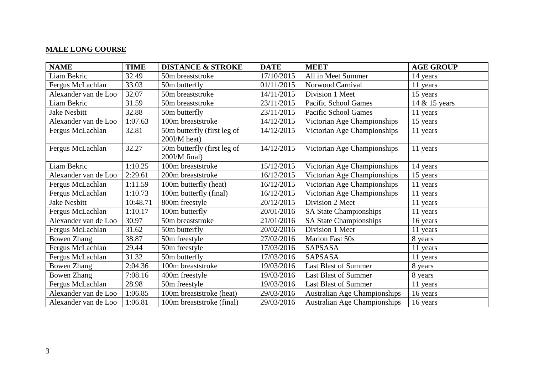## **MALE LONG COURSE**

| <b>NAME</b>          | <b>TIME</b> | <b>DISTANCE &amp; STROKE</b> | <b>DATE</b> | <b>MEET</b>                         | <b>AGE GROUP</b> |
|----------------------|-------------|------------------------------|-------------|-------------------------------------|------------------|
| Liam Bekric          | 32.49       | 50m breaststroke             | 17/10/2015  | All in Meet Summer                  | 14 years         |
| Fergus McLachlan     | 33.03       | 50m butterfly                | 01/11/2015  | Norwood Carnival                    | 11 years         |
| Alexander van de Loo | 32.07       | 50m breaststroke             | 14/11/2015  | Division 1 Meet                     | 15 years         |
| Liam Bekric          | 31.59       | 50m breaststroke             | 23/11/2015  | <b>Pacific School Games</b>         | 14 & 15 years    |
| <b>Jake Nesbitt</b>  | 32.88       | 50m butterfly                | 23/11/2015  | <b>Pacific School Games</b>         | 11 years         |
| Alexander van de Loo | 1:07.63     | 100m breaststroke            | 14/12/2015  | Victorian Age Championships         | 15 years         |
| Fergus McLachlan     | 32.81       | 50m butterfly (first leg of  | 14/12/2015  | Victorian Age Championships         | 11 years         |
|                      |             | 200I/M heat)                 |             |                                     |                  |
| Fergus McLachlan     | 32.27       | 50m butterfly (first leg of  | 14/12/2015  | Victorian Age Championships         | 11 years         |
|                      |             | 200I/M final)                |             |                                     |                  |
| Liam Bekric          | 1:10.25     | 100m breaststroke            | 15/12/2015  | Victorian Age Championships         | 14 years         |
| Alexander van de Loo | 2:29.61     | 200m breaststroke            | 16/12/2015  | Victorian Age Championships         | 15 years         |
| Fergus McLachlan     | 1:11.59     | 100m butterfly (heat)        | 16/12/2015  | Victorian Age Championships         | 11 years         |
| Fergus McLachlan     | 1:10.73     | 100m butterfly (final)       | 16/12/2015  | Victorian Age Championships         | 11 years         |
| <b>Jake Nesbitt</b>  | 10:48.71    | 800m freestyle               | 20/12/2015  | Division 2 Meet                     | 11 years         |
| Fergus McLachlan     | 1:10.17     | 100m butterfly               | 20/01/2016  | <b>SA State Championships</b>       | 11 years         |
| Alexander van de Loo | 30.97       | 50m breaststroke             | 21/01/2016  | <b>SA State Championships</b>       | 16 years         |
| Fergus McLachlan     | 31.62       | 50m butterfly                | 20/02/2016  | Division 1 Meet                     | 11 years         |
| <b>Bowen Zhang</b>   | 38.87       | 50m freestyle                | 27/02/2016  | Marion Fast 50s                     | 8 years          |
| Fergus McLachlan     | 29.44       | 50m freestyle                | 17/03/2016  | <b>SAPSASA</b>                      | 11 years         |
| Fergus McLachlan     | 31.32       | 50m butterfly                | 17/03/2016  | <b>SAPSASA</b>                      | 11 years         |
| <b>Bowen Zhang</b>   | 2:04.36     | 100m breaststroke            | 19/03/2016  | <b>Last Blast of Summer</b>         | 8 years          |
| <b>Bowen Zhang</b>   | 7:08.16     | 400m freestyle               | 19/03/2016  | <b>Last Blast of Summer</b>         | 8 years          |
| Fergus McLachlan     | 28.98       | 50m freestyle                | 19/03/2016  | Last Blast of Summer                | 11 years         |
| Alexander van de Loo | 1:06.85     | 100m breaststroke (heat)     | 29/03/2016  | <b>Australian Age Championships</b> | 16 years         |
| Alexander van de Loo | 1:06.81     | 100m breaststroke (final)    | 29/03/2016  | <b>Australian Age Championships</b> | 16 years         |